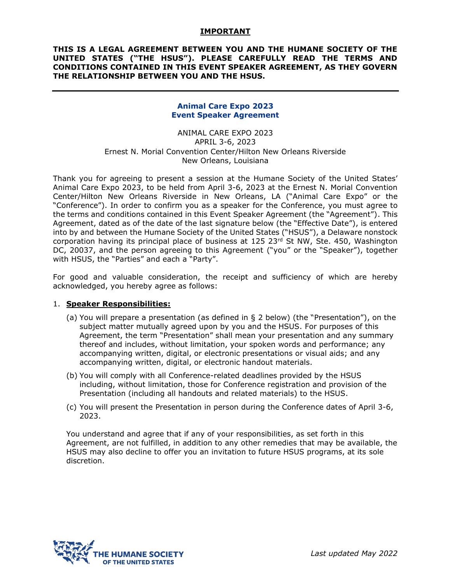### **IMPORTANT**

### **THIS IS A LEGAL AGREEMENT BETWEEN YOU AND THE HUMANE SOCIETY OF THE UNITED STATES ("THE HSUS"). PLEASE CAREFULLY READ THE TERMS AND CONDITIONS CONTAINED IN THIS EVENT SPEAKER AGREEMENT, AS THEY GOVERN THE RELATIONSHIP BETWEEN YOU AND THE HSUS.**

## **Animal Care Expo 2023 Event Speaker Agreement**

ANIMAL CARE EXPO 2023 APRIL 3-6, 2023 Ernest N. Morial Convention Center/Hilton New Orleans Riverside New Orleans, Louisiana

Thank you for agreeing to present a session at the Humane Society of the United States' Animal Care Expo 2023, to be held from April 3-6, 2023 at the Ernest N. Morial Convention Center/Hilton New Orleans Riverside in New Orleans, LA ("Animal Care Expo" or the "Conference"). In order to confirm you as a speaker for the Conference, you must agree to the terms and conditions contained in this Event Speaker Agreement (the "Agreement"). This Agreement, dated as of the date of the last signature below (the "Effective Date"), is entered into by and between the Humane Society of the United States ("HSUS"), a Delaware nonstock corporation having its principal place of business at 125 23rd St NW, Ste. 450, Washington DC, 20037, and the person agreeing to this Agreement ("you" or the "Speaker"), together with HSUS, the "Parties" and each a "Party".

For good and valuable consideration, the receipt and sufficiency of which are hereby acknowledged, you hereby agree as follows:

#### 1. **Speaker Responsibilities:**

- (a) You will prepare a presentation (as defined in § 2 below) (the "Presentation"), on the subject matter mutually agreed upon by you and the HSUS. For purposes of this Agreement, the term "Presentation" shall mean your presentation and any summary thereof and includes, without limitation, your spoken words and performance; any accompanying written, digital, or electronic presentations or visual aids; and any accompanying written, digital, or electronic handout materials.
- (b) You will comply with all Conference-related deadlines provided by the HSUS including, without limitation, those for Conference registration and provision of the Presentation (including all handouts and related materials) to the HSUS.
- (c) You will present the Presentation in person during the Conference dates of April 3-6, 2023.

You understand and agree that if any of your responsibilities, as set forth in this Agreement, are not fulfilled, in addition to any other remedies that may be available, the HSUS may also decline to offer you an invitation to future HSUS programs, at its sole discretion.

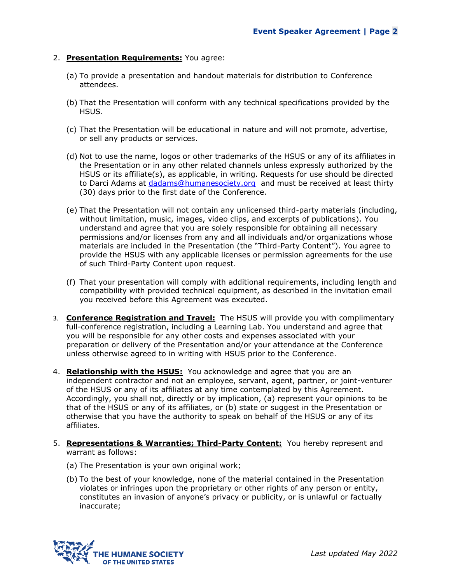## 2. **Presentation Requirements:** You agree:

- (a) To provide a presentation and handout materials for distribution to Conference attendees.
- (b) That the Presentation will conform with any technical specifications provided by the HSUS.
- (c) That the Presentation will be educational in nature and will not promote, advertise, or sell any products or services.
- (d) Not to use the name, logos or other trademarks of the HSUS or any of its affiliates in the Presentation or in any other related channels unless expressly authorized by the HSUS or its affiliate(s), as applicable, in writing. Requests for use should be directed to Darci Adams at [dadams@humanesociety.org](mailto:dadams@humanesociety.org) and must be received at least thirty (30) days prior to the first date of the Conference.
- (e) That the Presentation will not contain any unlicensed third-party materials (including, without limitation, music, images, video clips, and excerpts of publications). You understand and agree that you are solely responsible for obtaining all necessary permissions and/or licenses from any and all individuals and/or organizations whose materials are included in the Presentation (the "Third-Party Content"). You agree to provide the HSUS with any applicable licenses or permission agreements for the use of such Third-Party Content upon request.
- (f) That your presentation will comply with additional requirements, including length and compatibility with provided technical equipment, as described in the invitation email you received before this Agreement was executed.
- 3. **Conference Registration and Travel:** The HSUS will provide you with complimentary full-conference registration, including a Learning Lab. You understand and agree that you will be responsible for any other costs and expenses associated with your preparation or delivery of the Presentation and/or your attendance at the Conference unless otherwise agreed to in writing with HSUS prior to the Conference.
- 4. **Relationship with the HSUS:** You acknowledge and agree that you are an independent contractor and not an employee, servant, agent, partner, or joint-venturer of the HSUS or any of its affiliates at any time contemplated by this Agreement. Accordingly, you shall not, directly or by implication, (a) represent your opinions to be that of the HSUS or any of its affiliates, or (b) state or suggest in the Presentation or otherwise that you have the authority to speak on behalf of the HSUS or any of its affiliates.
- 5. **Representations & Warranties; Third-Party Content:** You hereby represent and warrant as follows:
	- (a) The Presentation is your own original work;
	- (b) To the best of your knowledge, none of the material contained in the Presentation violates or infringes upon the proprietary or other rights of any person or entity, constitutes an invasion of anyone's privacy or publicity, or is unlawful or factually inaccurate;

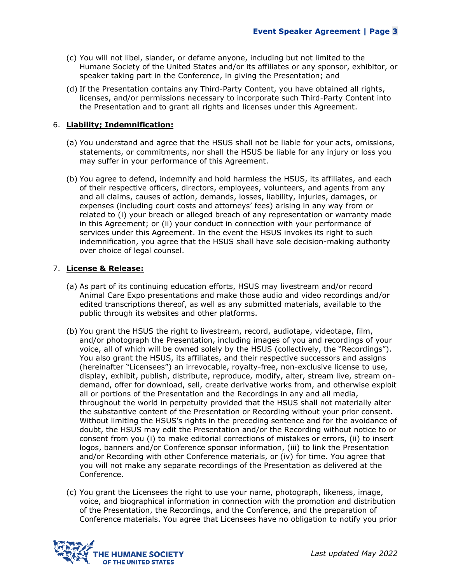- (c) You will not libel, slander, or defame anyone, including but not limited to the Humane Society of the United States and/or its affiliates or any sponsor, exhibitor, or speaker taking part in the Conference, in giving the Presentation; and
- (d) If the Presentation contains any Third-Party Content, you have obtained all rights, licenses, and/or permissions necessary to incorporate such Third-Party Content into the Presentation and to grant all rights and licenses under this Agreement.

## 6. **Liability; Indemnification:**

- (a) You understand and agree that the HSUS shall not be liable for your acts, omissions, statements, or commitments, nor shall the HSUS be liable for any injury or loss you may suffer in your performance of this Agreement.
- (b) You agree to defend, indemnify and hold harmless the HSUS, its affiliates, and each of their respective officers, directors, employees, volunteers, and agents from any and all claims, causes of action, demands, losses, liability, injuries, damages, or expenses (including court costs and attorneys' fees) arising in any way from or related to (i) your breach or alleged breach of any representation or warranty made in this Agreement; or (ii) your conduct in connection with your performance of services under this Agreement. In the event the HSUS invokes its right to such indemnification, you agree that the HSUS shall have sole decision-making authority over choice of legal counsel.

## 7. **License & Release:**

- (a) As part of its continuing education efforts, HSUS may livestream and/or record Animal Care Expo presentations and make those audio and video recordings and/or edited transcriptions thereof, as well as any submitted materials, available to the public through its websites and other platforms.
- (b) You grant the HSUS the right to livestream, record, audiotape, videotape, film, and/or photograph the Presentation, including images of you and recordings of your voice, all of which will be owned solely by the HSUS (collectively, the "Recordings"). You also grant the HSUS, its affiliates, and their respective successors and assigns (hereinafter "Licensees") an irrevocable, royalty-free, non-exclusive license to use, display, exhibit, publish, distribute, reproduce, modify, alter, stream live, stream ondemand, offer for download, sell, create derivative works from, and otherwise exploit all or portions of the Presentation and the Recordings in any and all media, throughout the world in perpetuity provided that the HSUS shall not materially alter the substantive content of the Presentation or Recording without your prior consent. Without limiting the HSUS's rights in the preceding sentence and for the avoidance of doubt, the HSUS may edit the Presentation and/or the Recording without notice to or consent from you (i) to make editorial corrections of mistakes or errors, (ii) to insert logos, banners and/or Conference sponsor information, (iii) to link the Presentation and/or Recording with other Conference materials, or (iv) for time. You agree that you will not make any separate recordings of the Presentation as delivered at the Conference.
- (c) You grant the Licensees the right to use your name, photograph, likeness, image, voice, and biographical information in connection with the promotion and distribution of the Presentation, the Recordings, and the Conference, and the preparation of Conference materials. You agree that Licensees have no obligation to notify you prior

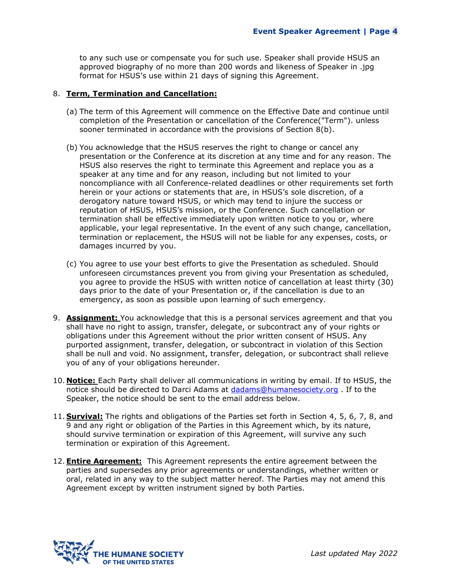to any such use or compensate you for such use. Speaker shall provide HSUS an approved biography of no more than 200 words and likeness of Speaker in .jpg format for HSUS's use within 21 days of signing this Agreement.

### 8. **Term, Termination and Cancellation:**

- (a) The term of this Agreement will commence on the Effective Date and continue until completion of the Presentation or cancellation of the Conference("Term"). unless sooner terminated in accordance with the provisions of Section 8(b).
- (b) You acknowledge that the HSUS reserves the right to change or cancel any presentation or the Conference at its discretion at any time and for any reason. The HSUS also reserves the right to terminate this Agreement and replace you as a speaker at any time and for any reason, including but not limited to your noncompliance with all Conference-related deadlines or other requirements set forth herein or your actions or statements that are, in HSUS's sole discretion, of a derogatory nature toward HSUS, or which may tend to injure the success or reputation of HSUS, HSUS's mission, or the Conference. Such cancellation or termination shall be effective immediately upon written notice to you or, where applicable, your legal representative. In the event of any such change, cancellation, termination or replacement, the HSUS will not be liable for any expenses, costs, or damages incurred by you.
- (c) You agree to use your best efforts to give the Presentation as scheduled. Should unforeseen circumstances prevent you from giving your Presentation as scheduled, you agree to provide the HSUS with written notice of cancellation at least thirty (30) days prior to the date of your Presentation or, if the cancellation is due to an emergency, as soon as possible upon learning of such emergency.
- 9. **Assignment:** You acknowledge that this is a personal services agreement and that you shall have no right to assign, transfer, delegate, or subcontract any of your rights or obligations under this Agreement without the prior written consent of HSUS. Any purported assignment, transfer, delegation, or subcontract in violation of this Section shall be null and void. No assignment, transfer, delegation, or subcontract shall relieve you of any of your obligations hereunder.
- 10. **Notice:** Each Party shall deliver all communications in writing by email. If to HSUS, the notice should be directed to Darci Adams at [dadams@humanesociety.org](mailto:dadams@humanesociety.org) . If to the Speaker, the notice should be sent to the email address below.
- 11. **Survival:** The rights and obligations of the Parties set forth in Section 4, 5, 6, 7, 8, and 9 and any right or obligation of the Parties in this Agreement which, by its nature, should survive termination or expiration of this Agreement, will survive any such termination or expiration of this Agreement.
- 12.**Entire Agreement:** This Agreement represents the entire agreement between the parties and supersedes any prior agreements or understandings, whether written or oral, related in any way to the subject matter hereof. The Parties may not amend this Agreement except by written instrument signed by both Parties.